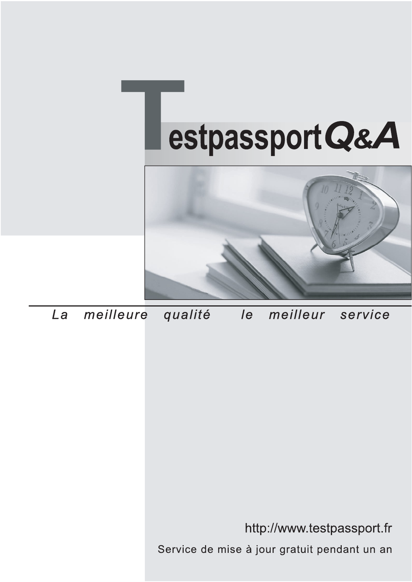



meilleure La qualité  $\overline{e}$ meilleur service

http://www.testpassport.fr

Service de mise à jour gratuit pendant un an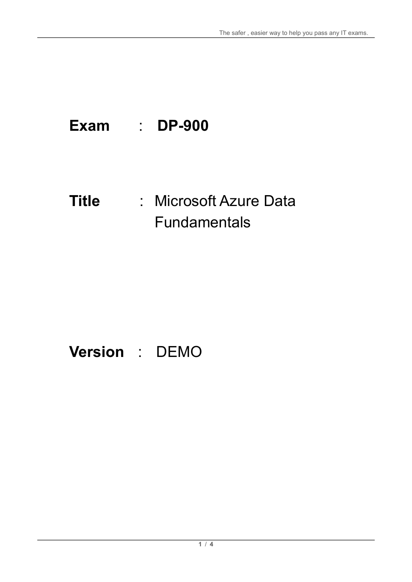# **Exam** : **DP-900**

# **Title** : Microsoft Azure Data Fundamentals

# **Version** : DEMO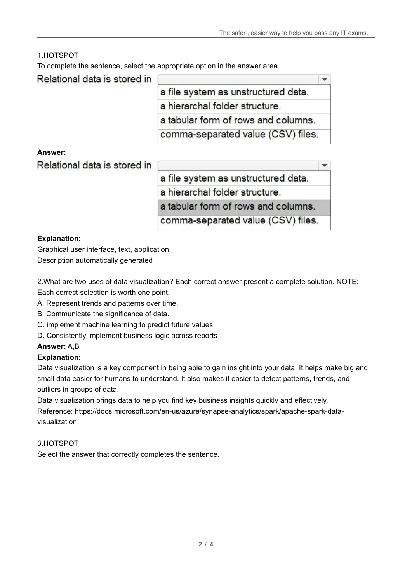$\overline{\phantom{a}}$ 

## 1.HOTSPOT

To complete the sentence, select the appropriate option in the answer area.

Relational data is stored in

| a file system as unstructured data. |  |
|-------------------------------------|--|
| a hierarchal folder structure.      |  |
| a tabular form of rows and columns. |  |
| comma-separated value (CSV) files.  |  |

**Answer:**

Relational data is stored in

a file system as unstructured data.

a hierarchal folder structure.

a tabular form of rows and columns.

comma-separated value (CSV) files.

#### **Explanation:**

Graphical user interface, text, application Description automatically generated

2.What are two uses of data visualization? Each correct answer present a complete solution. NOTE: Each correct selection is worth one point.

- A. Represent trends and patterns over time.
- B. Communicate the significance of data.
- C. implement machine learning to predict future values.
- D. Consistently implement business logic across reports

#### **Answer:** A,B

#### **Explanation:**

Data visualization is a key component in being able to gain insight into your data. It helps make big and small data easier for humans to understand. It also makes it easier to detect patterns, trends, and outliers in groups of data.

Data visualization brings data to help you find key business insights quickly and effectively.

Reference: https://docs.microsoft.com/en-us/azure/synapse-analytics/spark/apache-spark-datavisualization

#### 3.HOTSPOT

Select the answer that correctly completes the sentence.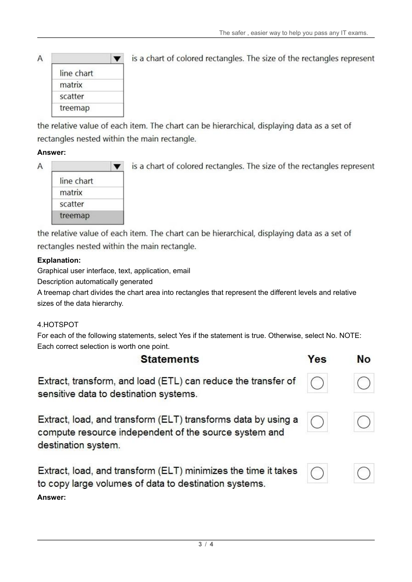|  | line chart |  |
|--|------------|--|
|  | matrix     |  |
|  | scatter    |  |
|  | treemap    |  |

is a chart of colored rectangles. The size of the rectangles represent

the relative value of each item. The chart can be hierarchical, displaying data as a set of rectangles nested within the main rectangle.

### **Answer:**

 $\overline{A}$ 

| line chart |  |
|------------|--|
| matrix     |  |
| scatter    |  |
| treemap    |  |

is a chart of colored rectangles. The size of the rectangles represent

the relative value of each item. The chart can be hierarchical, displaying data as a set of rectangles nested within the main rectangle.

#### **Explanation:**

Graphical user interface, text, application, email

Description automatically generated

A treemap chart divides the chart area into rectangles that represent the different levels and relative sizes of the data hierarchy.

### 4.HOTSPOT

For each of the following statements, select Yes if the statement is true. Otherwise, select No. NOTE: Each correct selection is worth one point.

| <b>Statements</b>                                                                                                                             | Yes | <b>No</b> |
|-----------------------------------------------------------------------------------------------------------------------------------------------|-----|-----------|
| Extract, transform, and load (ETL) can reduce the transfer of<br>sensitive data to destination systems.                                       |     |           |
| Extract, load, and transform (ELT) transforms data by using a<br>compute resource independent of the source system and<br>destination system. |     |           |
| Extract, load, and transform (ELT) minimizes the time it takes<br>to copy large volumes of data to destination systems.                       |     |           |

# **Answer:**